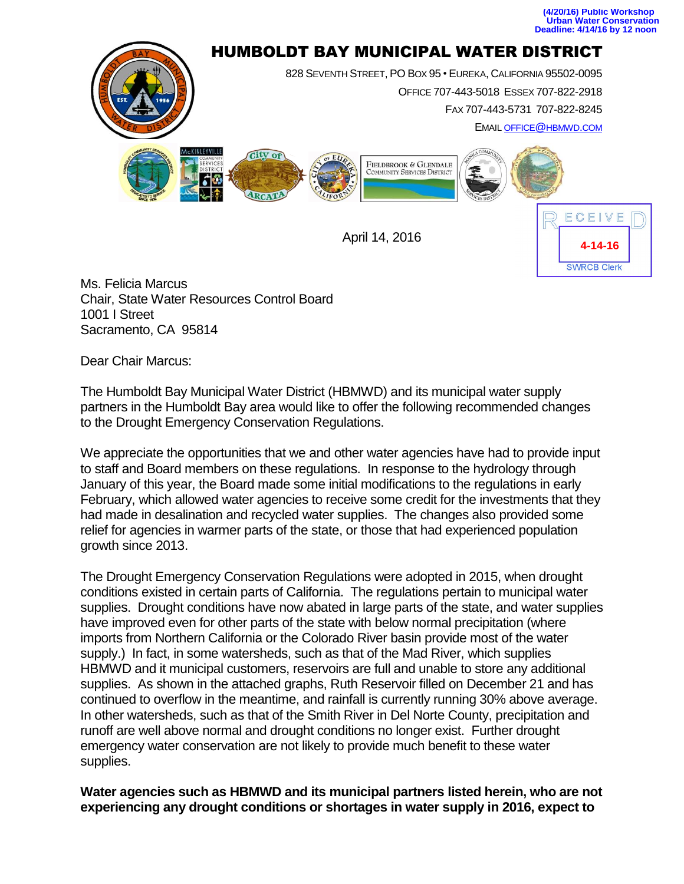



Ms. Felicia Marcus Chair, State Water Resources Control Board 1001 I Street Sacramento, CA 95814

Dear Chair Marcus:

The Humboldt Bay Municipal Water District (HBMWD) and its municipal water supply partners in the Humboldt Bay area would like to offer the following recommended changes to the Drought Emergency Conservation Regulations.

We appreciate the opportunities that we and other water agencies have had to provide input to staff and Board members on these regulations. In response to the hydrology through January of this year, the Board made some initial modifications to the regulations in early February, which allowed water agencies to receive some credit for the investments that they had made in desalination and recycled water supplies. The changes also provided some relief for agencies in warmer parts of the state, or those that had experienced population growth since 2013.

The Drought Emergency Conservation Regulations were adopted in 2015, when drought conditions existed in certain parts of California. The regulations pertain to municipal water supplies. Drought conditions have now abated in large parts of the state, and water supplies have improved even for other parts of the state with below normal precipitation (where imports from Northern California or the Colorado River basin provide most of the water supply.) In fact, in some watersheds, such as that of the Mad River, which supplies HBMWD and it municipal customers, reservoirs are full and unable to store any additional supplies. As shown in the attached graphs, Ruth Reservoir filled on December 21 and has continued to overflow in the meantime, and rainfall is currently running 30% above average. In other watersheds, such as that of the Smith River in Del Norte County, precipitation and runoff are well above normal and drought conditions no longer exist. Further drought emergency water conservation are not likely to provide much benefit to these water supplies.

**Water agencies such as HBMWD and its municipal partners listed herein, who are not experiencing any drought conditions or shortages in water supply in 2016, expect to**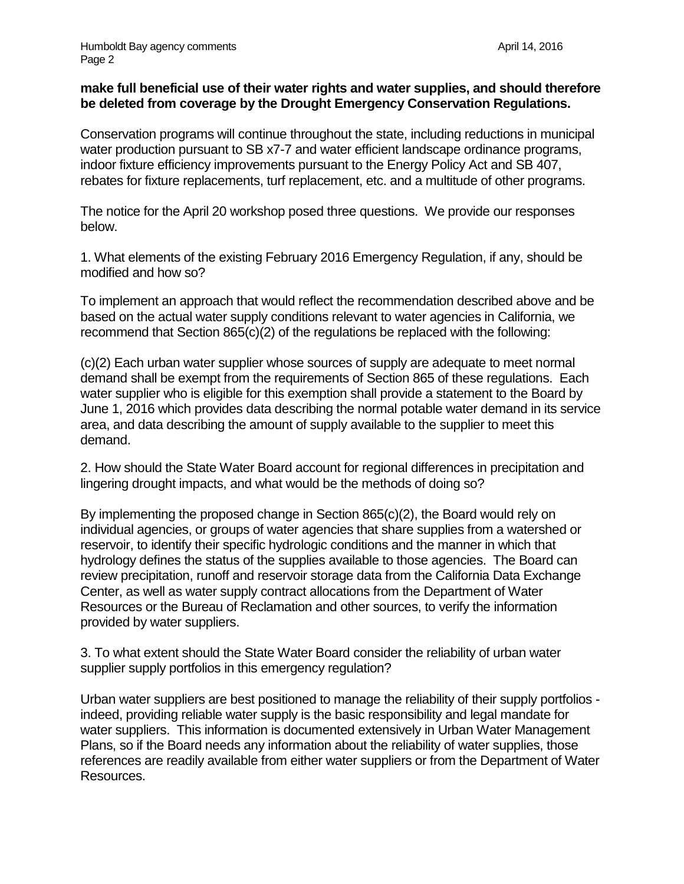## **make full beneficial use of their water rights and water supplies, and should therefore be deleted from coverage by the Drought Emergency Conservation Regulations.**

Conservation programs will continue throughout the state, including reductions in municipal water production pursuant to SB x7-7 and water efficient landscape ordinance programs, indoor fixture efficiency improvements pursuant to the Energy Policy Act and SB 407, rebates for fixture replacements, turf replacement, etc. and a multitude of other programs.

The notice for the April 20 workshop posed three questions. We provide our responses below.

1. What elements of the existing February 2016 Emergency Regulation, if any, should be modified and how so?

To implement an approach that would reflect the recommendation described above and be based on the actual water supply conditions relevant to water agencies in California, we recommend that Section 865(c)(2) of the regulations be replaced with the following:

(c)(2) Each urban water supplier whose sources of supply are adequate to meet normal demand shall be exempt from the requirements of Section 865 of these regulations. Each water supplier who is eligible for this exemption shall provide a statement to the Board by June 1, 2016 which provides data describing the normal potable water demand in its service area, and data describing the amount of supply available to the supplier to meet this demand.

2. How should the State Water Board account for regional differences in precipitation and lingering drought impacts, and what would be the methods of doing so?

By implementing the proposed change in Section 865(c)(2), the Board would rely on individual agencies, or groups of water agencies that share supplies from a watershed or reservoir, to identify their specific hydrologic conditions and the manner in which that hydrology defines the status of the supplies available to those agencies. The Board can review precipitation, runoff and reservoir storage data from the California Data Exchange Center, as well as water supply contract allocations from the Department of Water Resources or the Bureau of Reclamation and other sources, to verify the information provided by water suppliers.

3. To what extent should the State Water Board consider the reliability of urban water supplier supply portfolios in this emergency regulation?

Urban water suppliers are best positioned to manage the reliability of their supply portfolios indeed, providing reliable water supply is the basic responsibility and legal mandate for water suppliers. This information is documented extensively in Urban Water Management Plans, so if the Board needs any information about the reliability of water supplies, those references are readily available from either water suppliers or from the Department of Water Resources.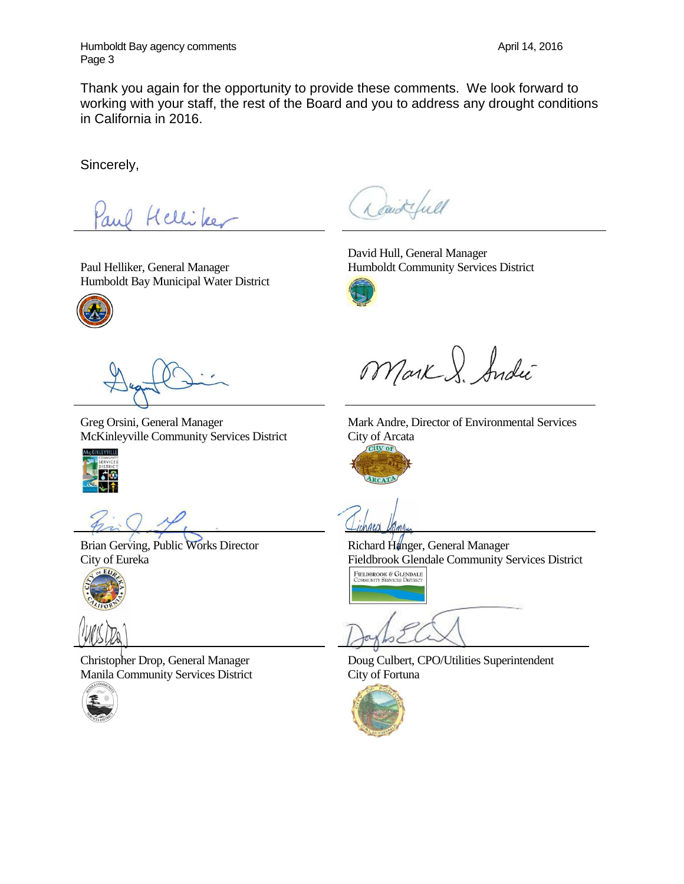Humboldt Bay agency comments **April 14, 2016 April 14**, 2016 Page 3

Thank you again for the opportunity to provide these comments. We look forward to working with your staff, the rest of the Board and you to address any drought conditions in California in 2016.

Sincerely,

Helliker

Paul Helliker, General Manager Humboldt Bay Municipal Water District



Greg Orsini, General Manager McKinleyville Community Services District



Brian Gerving, Public Works Director City of Eureka





Christopher Drop, General Manager Manila Community Services District



David full

David Hull, General Manager Humboldt Community Services District



Mark S. Andie

Mark Andre, Director of Environmental Services City of Arcata



Richard Hanger, General Manager Fieldbrook Glendale Community Services District FIELDBROOK & GLENDALE<br>COMMUNITY SERVICES DISTRICT

Doug Culbert, CPO/Utilities Superintendent City of Fortuna

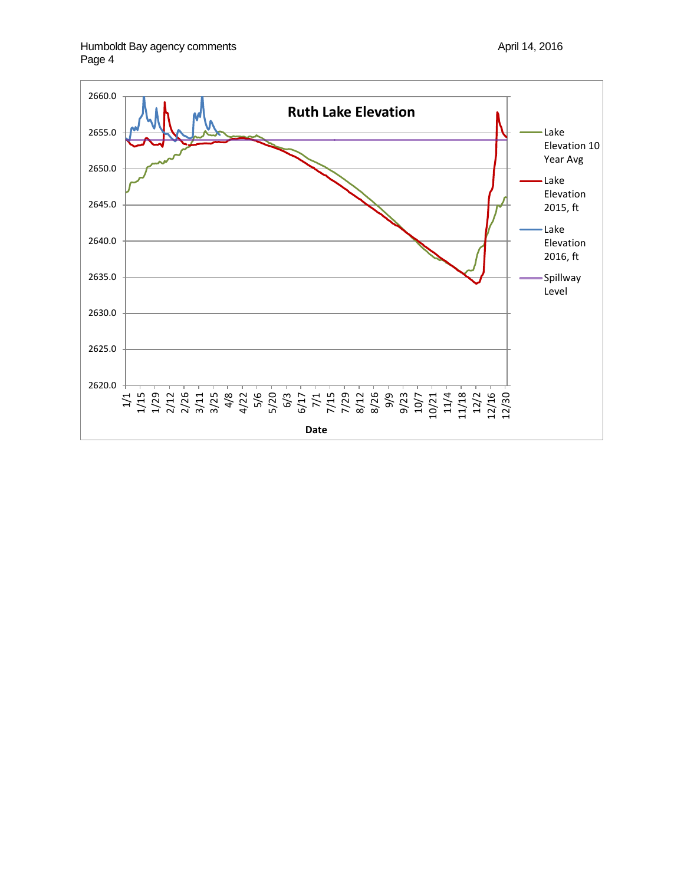